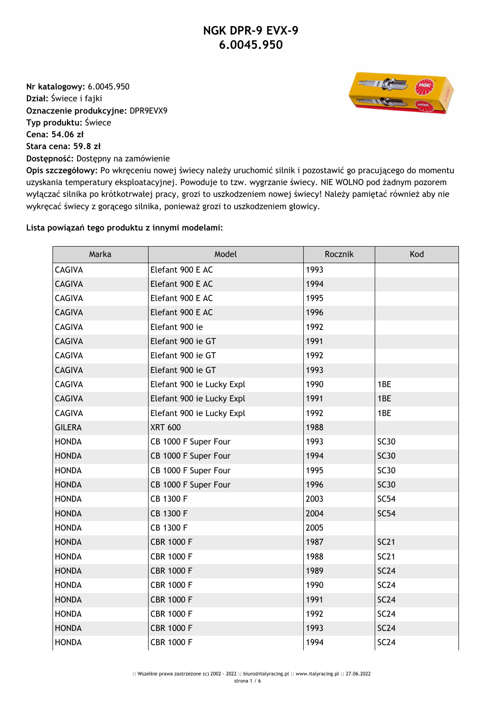**Nr katalogowy:** 6.0045.950 **Dział:** Świece i fajki **Oznaczenie produkcyjne:** DPR9EVX9 **Typ produktu:** Świece **Cena: 54.06 zł Stara cena: 59.8 zł Dostępność:** Dostępny na zamówienie



**Opis szczegółowy:** Po wkręceniu nowej świecy należy uruchomić silnik i pozostawić go pracującego do momentu uzyskania temperatury eksploatacyjnej. Powoduje to tzw. wygrzanie świecy. NIE WOLNO pod żadnym pozorem wyłączać silnika po krótkotrwałej pracy, grozi to uszkodzeniem nowej świecy! Należy pamiętać również aby nie wykręcać świecy z gorącego silnika, ponieważ grozi to uszkodzeniem głowicy.

## **Lista powiązań tego produktu z innymi modelami:**

| Marka         | Model                     | Rocznik | Kod         |
|---------------|---------------------------|---------|-------------|
| <b>CAGIVA</b> | Elefant 900 E AC          | 1993    |             |
| <b>CAGIVA</b> | Elefant 900 E AC          | 1994    |             |
| <b>CAGIVA</b> | Elefant 900 E AC          | 1995    |             |
| <b>CAGIVA</b> | Elefant 900 E AC          | 1996    |             |
| <b>CAGIVA</b> | Elefant 900 ie            | 1992    |             |
| <b>CAGIVA</b> | Elefant 900 ie GT         | 1991    |             |
| <b>CAGIVA</b> | Elefant 900 ie GT         | 1992    |             |
| <b>CAGIVA</b> | Elefant 900 ie GT         | 1993    |             |
| <b>CAGIVA</b> | Elefant 900 ie Lucky Expl | 1990    | 1BE         |
| <b>CAGIVA</b> | Elefant 900 ie Lucky Expl | 1991    | 1BE         |
| CAGIVA        | Elefant 900 ie Lucky Expl | 1992    | 1BE         |
| <b>GILERA</b> | <b>XRT 600</b>            | 1988    |             |
| <b>HONDA</b>  | CB 1000 F Super Four      | 1993    | <b>SC30</b> |
| <b>HONDA</b>  | CB 1000 F Super Four      | 1994    | <b>SC30</b> |
| <b>HONDA</b>  | CB 1000 F Super Four      | 1995    | <b>SC30</b> |
| <b>HONDA</b>  | CB 1000 F Super Four      | 1996    | <b>SC30</b> |
| <b>HONDA</b>  | CB 1300 F                 | 2003    | <b>SC54</b> |
| <b>HONDA</b>  | CB 1300 F                 | 2004    | <b>SC54</b> |
| <b>HONDA</b>  | CB 1300 F                 | 2005    |             |
| <b>HONDA</b>  | <b>CBR 1000 F</b>         | 1987    | SC21        |
| <b>HONDA</b>  | <b>CBR 1000 F</b>         | 1988    | <b>SC21</b> |
| <b>HONDA</b>  | <b>CBR 1000 F</b>         | 1989    | <b>SC24</b> |
| <b>HONDA</b>  | <b>CBR 1000 F</b>         | 1990    | <b>SC24</b> |
| <b>HONDA</b>  | <b>CBR 1000 F</b>         | 1991    | <b>SC24</b> |
| <b>HONDA</b>  | <b>CBR 1000 F</b>         | 1992    | <b>SC24</b> |
| <b>HONDA</b>  | <b>CBR 1000 F</b>         | 1993    | <b>SC24</b> |
| <b>HONDA</b>  | <b>CBR 1000 F</b>         | 1994    | <b>SC24</b> |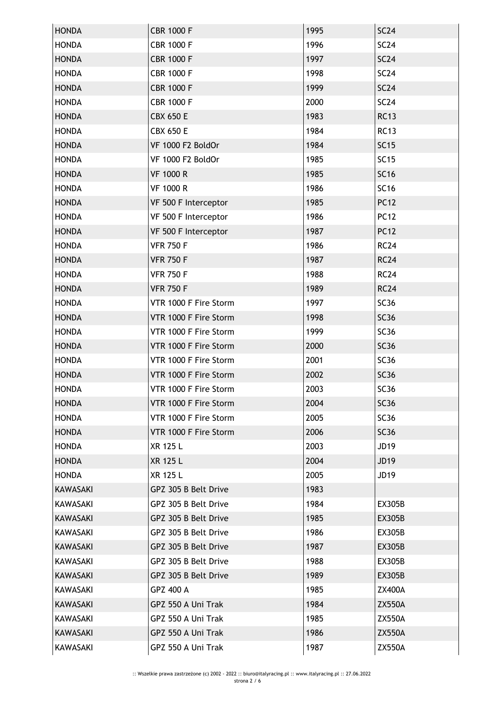| <b>HONDA</b>    | <b>CBR 1000 F</b>     | 1995 | <b>SC24</b>      |
|-----------------|-----------------------|------|------------------|
| <b>HONDA</b>    | <b>CBR 1000 F</b>     | 1996 | <b>SC24</b>      |
| <b>HONDA</b>    | <b>CBR 1000 F</b>     | 1997 | SC24             |
| <b>HONDA</b>    | <b>CBR 1000 F</b>     | 1998 | <b>SC24</b>      |
| <b>HONDA</b>    | <b>CBR 1000 F</b>     | 1999 | <b>SC24</b>      |
| <b>HONDA</b>    | <b>CBR 1000 F</b>     | 2000 | SC24             |
| <b>HONDA</b>    | <b>CBX 650 E</b>      | 1983 | <b>RC13</b>      |
| <b>HONDA</b>    | <b>CBX 650 E</b>      | 1984 | <b>RC13</b>      |
| <b>HONDA</b>    | VF 1000 F2 BoldOr     | 1984 | <b>SC15</b>      |
| <b>HONDA</b>    | VF 1000 F2 BoldOr     | 1985 | <b>SC15</b>      |
| <b>HONDA</b>    | <b>VF 1000 R</b>      | 1985 | <b>SC16</b>      |
| <b>HONDA</b>    | <b>VF 1000 R</b>      | 1986 | <b>SC16</b>      |
| <b>HONDA</b>    | VF 500 F Interceptor  | 1985 | <b>PC12</b>      |
| <b>HONDA</b>    | VF 500 F Interceptor  | 1986 | <b>PC12</b>      |
| <b>HONDA</b>    | VF 500 F Interceptor  | 1987 | <b>PC12</b>      |
| <b>HONDA</b>    | <b>VFR 750 F</b>      | 1986 | <b>RC24</b>      |
| <b>HONDA</b>    | <b>VFR 750 F</b>      | 1987 | <b>RC24</b>      |
| <b>HONDA</b>    | <b>VFR 750 F</b>      | 1988 | <b>RC24</b>      |
| <b>HONDA</b>    | <b>VFR 750 F</b>      | 1989 | <b>RC24</b>      |
| <b>HONDA</b>    | VTR 1000 F Fire Storm | 1997 | <b>SC36</b>      |
| <b>HONDA</b>    | VTR 1000 F Fire Storm | 1998 | <b>SC36</b>      |
| <b>HONDA</b>    | VTR 1000 F Fire Storm | 1999 | SC <sub>36</sub> |
| <b>HONDA</b>    | VTR 1000 F Fire Storm | 2000 | <b>SC36</b>      |
| <b>HONDA</b>    | VTR 1000 F Fire Storm | 2001 | <b>SC36</b>      |
| <b>HONDA</b>    | VTR 1000 F Fire Storm | 2002 | <b>SC36</b>      |
| <b>HONDA</b>    | VTR 1000 F Fire Storm | 2003 | <b>SC36</b>      |
| <b>HONDA</b>    | VTR 1000 F Fire Storm | 2004 | <b>SC36</b>      |
| <b>HONDA</b>    | VTR 1000 F Fire Storm | 2005 | SC36             |
| <b>HONDA</b>    | VTR 1000 F Fire Storm | 2006 | <b>SC36</b>      |
| <b>HONDA</b>    | XR 125 L              | 2003 | <b>JD19</b>      |
| <b>HONDA</b>    | XR 125 L              | 2004 | <b>JD19</b>      |
| <b>HONDA</b>    | XR 125 L              | 2005 | JD <sub>19</sub> |
| KAWASAKI        | GPZ 305 B Belt Drive  | 1983 |                  |
| KAWASAKI        | GPZ 305 B Belt Drive  | 1984 | <b>EX305B</b>    |
| <b>KAWASAKI</b> | GPZ 305 B Belt Drive  | 1985 | <b>EX305B</b>    |
| <b>KAWASAKI</b> | GPZ 305 B Belt Drive  | 1986 | EX305B           |
| <b>KAWASAKI</b> | GPZ 305 B Belt Drive  | 1987 | <b>EX305B</b>    |
| KAWASAKI        | GPZ 305 B Belt Drive  | 1988 | EX305B           |
| <b>KAWASAKI</b> | GPZ 305 B Belt Drive  | 1989 | <b>EX305B</b>    |
| <b>KAWASAKI</b> | GPZ 400 A             | 1985 | <b>ZX400A</b>    |
| <b>KAWASAKI</b> | GPZ 550 A Uni Trak    | 1984 | <b>ZX550A</b>    |
| <b>KAWASAKI</b> | GPZ 550 A Uni Trak    | 1985 | <b>ZX550A</b>    |
| <b>KAWASAKI</b> | GPZ 550 A Uni Trak    | 1986 | <b>ZX550A</b>    |
| <b>KAWASAKI</b> | GPZ 550 A Uni Trak    | 1987 | <b>ZX550A</b>    |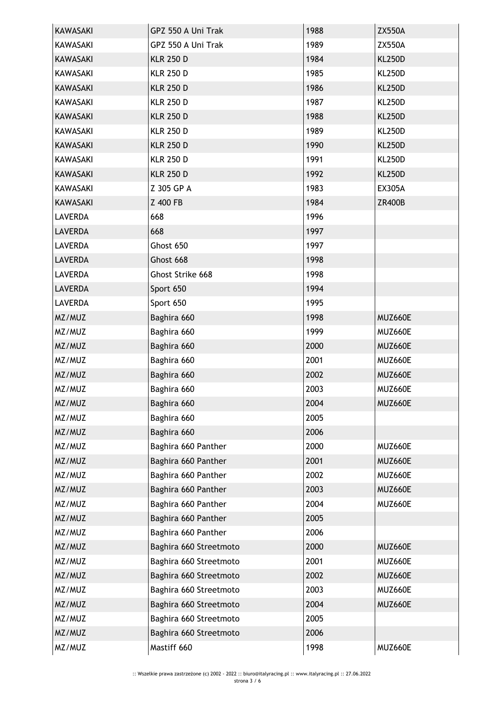| <b>KAWASAKI</b> | GPZ 550 A Uni Trak     | 1988 | <b>ZX550A</b> |
|-----------------|------------------------|------|---------------|
| KAWASAKI        | GPZ 550 A Uni Trak     | 1989 | <b>ZX550A</b> |
| <b>KAWASAKI</b> | <b>KLR 250 D</b>       | 1984 | <b>KL250D</b> |
| <b>KAWASAKI</b> | <b>KLR 250 D</b>       | 1985 | <b>KL250D</b> |
| <b>KAWASAKI</b> | <b>KLR 250 D</b>       | 1986 | <b>KL250D</b> |
| KAWASAKI        | <b>KLR 250 D</b>       | 1987 | <b>KL250D</b> |
| <b>KAWASAKI</b> | <b>KLR 250 D</b>       | 1988 | <b>KL250D</b> |
| <b>KAWASAKI</b> | <b>KLR 250 D</b>       | 1989 | <b>KL250D</b> |
| <b>KAWASAKI</b> | <b>KLR 250 D</b>       | 1990 | <b>KL250D</b> |
| <b>KAWASAKI</b> | <b>KLR 250 D</b>       | 1991 | <b>KL250D</b> |
| <b>KAWASAKI</b> | <b>KLR 250 D</b>       | 1992 | <b>KL250D</b> |
| KAWASAKI        | Z 305 GP A             | 1983 | <b>EX305A</b> |
| <b>KAWASAKI</b> | Z 400 FB               | 1984 | <b>ZR400B</b> |
| <b>LAVERDA</b>  | 668                    | 1996 |               |
| <b>LAVERDA</b>  | 668                    | 1997 |               |
| <b>LAVERDA</b>  | Ghost 650              | 1997 |               |
| <b>LAVERDA</b>  | Ghost 668              | 1998 |               |
| <b>LAVERDA</b>  | Ghost Strike 668       | 1998 |               |
| <b>LAVERDA</b>  | Sport 650              | 1994 |               |
| <b>LAVERDA</b>  | Sport 650              | 1995 |               |
| MZ/MUZ          | Baghira 660            | 1998 | MUZ660E       |
| MZ/MUZ          | Baghira 660            | 1999 | MUZ660E       |
| MZ/MUZ          | Baghira 660            | 2000 | MUZ660E       |
| MZ/MUZ          | Baghira 660            | 2001 | MUZ660E       |
| MZ/MUZ          | Baghira 660            | 2002 | MUZ660E       |
| MZ/MUZ          | Baghira 660            | 2003 | MUZ660E       |
| MZ/MUZ          | Baghira 660            | 2004 | MUZ660E       |
| MZ/MUZ          | Baghira 660            | 2005 |               |
| MZ/MUZ          | Baghira 660            | 2006 |               |
| MZ/MUZ          | Baghira 660 Panther    | 2000 | MUZ660E       |
| MZ/MUZ          | Baghira 660 Panther    | 2001 | MUZ660E       |
| MZ/MUZ          | Baghira 660 Panther    | 2002 | MUZ660E       |
| MZ/MUZ          | Baghira 660 Panther    | 2003 | MUZ660E       |
| MZ/MUZ          | Baghira 660 Panther    | 2004 | MUZ660E       |
| MZ/MUZ          | Baghira 660 Panther    | 2005 |               |
| MZ/MUZ          | Baghira 660 Panther    | 2006 |               |
| MZ/MUZ          | Baghira 660 Streetmoto | 2000 | MUZ660E       |
| MZ/MUZ          | Baghira 660 Streetmoto | 2001 | MUZ660E       |
| MZ/MUZ          | Baghira 660 Streetmoto | 2002 | MUZ660E       |
| MZ/MUZ          | Baghira 660 Streetmoto | 2003 | MUZ660E       |
| MZ/MUZ          | Baghira 660 Streetmoto | 2004 | MUZ660E       |
| MZ/MUZ          | Baghira 660 Streetmoto | 2005 |               |
| MZ/MUZ          | Baghira 660 Streetmoto | 2006 |               |
| MZ/MUZ          | Mastiff 660            | 1998 | MUZ660E       |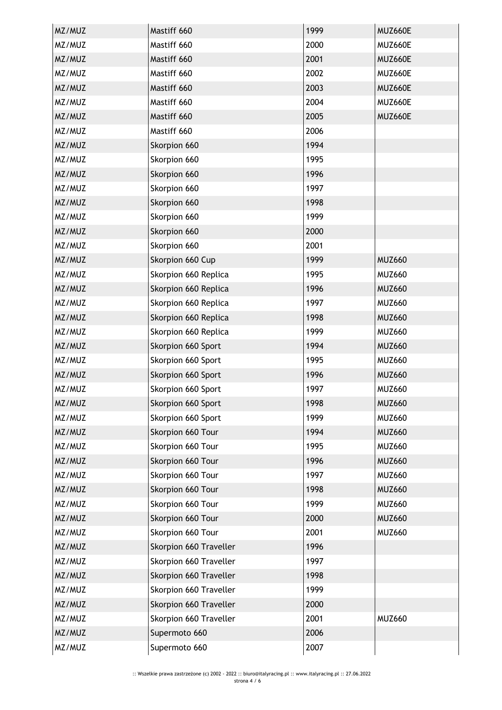| MZ/MUZ | Mastiff 660            | 1999 | MUZ660E       |
|--------|------------------------|------|---------------|
| MZ/MUZ | Mastiff 660            | 2000 | MUZ660E       |
| MZ/MUZ | Mastiff 660            | 2001 | MUZ660E       |
| MZ/MUZ | Mastiff 660            | 2002 | MUZ660E       |
| MZ/MUZ | Mastiff 660            | 2003 | MUZ660E       |
| MZ/MUZ | Mastiff 660            | 2004 | MUZ660E       |
| MZ/MUZ | Mastiff 660            | 2005 | MUZ660E       |
| MZ/MUZ | Mastiff 660            | 2006 |               |
| MZ/MUZ | Skorpion 660           | 1994 |               |
| MZ/MUZ | Skorpion 660           | 1995 |               |
| MZ/MUZ | Skorpion 660           | 1996 |               |
| MZ/MUZ | Skorpion 660           | 1997 |               |
| MZ/MUZ | Skorpion 660           | 1998 |               |
| MZ/MUZ | Skorpion 660           | 1999 |               |
| MZ/MUZ | Skorpion 660           | 2000 |               |
| MZ/MUZ | Skorpion 660           | 2001 |               |
| MZ/MUZ | Skorpion 660 Cup       | 1999 | <b>MUZ660</b> |
| MZ/MUZ | Skorpion 660 Replica   | 1995 | <b>MUZ660</b> |
| MZ/MUZ | Skorpion 660 Replica   | 1996 | <b>MUZ660</b> |
| MZ/MUZ | Skorpion 660 Replica   | 1997 | <b>MUZ660</b> |
| MZ/MUZ | Skorpion 660 Replica   | 1998 | <b>MUZ660</b> |
| MZ/MUZ | Skorpion 660 Replica   | 1999 | <b>MUZ660</b> |
| MZ/MUZ | Skorpion 660 Sport     | 1994 | <b>MUZ660</b> |
| MZ/MUZ | Skorpion 660 Sport     | 1995 | <b>MUZ660</b> |
| MZ/MUZ | Skorpion 660 Sport     | 1996 | <b>MUZ660</b> |
| MZ/MUZ | Skorpion 660 Sport     | 1997 | <b>MUZ660</b> |
| MZ/MUZ | Skorpion 660 Sport     | 1998 | <b>MUZ660</b> |
| MZ/MUZ | Skorpion 660 Sport     | 1999 | <b>MUZ660</b> |
| MZ/MUZ | Skorpion 660 Tour      | 1994 | <b>MUZ660</b> |
| MZ/MUZ | Skorpion 660 Tour      | 1995 | <b>MUZ660</b> |
| MZ/MUZ | Skorpion 660 Tour      | 1996 | <b>MUZ660</b> |
| MZ/MUZ | Skorpion 660 Tour      | 1997 | <b>MUZ660</b> |
| MZ/MUZ | Skorpion 660 Tour      | 1998 | <b>MUZ660</b> |
| MZ/MUZ | Skorpion 660 Tour      | 1999 | <b>MUZ660</b> |
| MZ/MUZ | Skorpion 660 Tour      | 2000 | <b>MUZ660</b> |
| MZ/MUZ | Skorpion 660 Tour      | 2001 | <b>MUZ660</b> |
| MZ/MUZ | Skorpion 660 Traveller | 1996 |               |
| MZ/MUZ | Skorpion 660 Traveller | 1997 |               |
| MZ/MUZ | Skorpion 660 Traveller | 1998 |               |
| MZ/MUZ | Skorpion 660 Traveller | 1999 |               |
| MZ/MUZ | Skorpion 660 Traveller | 2000 |               |
| MZ/MUZ | Skorpion 660 Traveller | 2001 | <b>MUZ660</b> |
| MZ/MUZ | Supermoto 660          | 2006 |               |
| MZ/MUZ | Supermoto 660          | 2007 |               |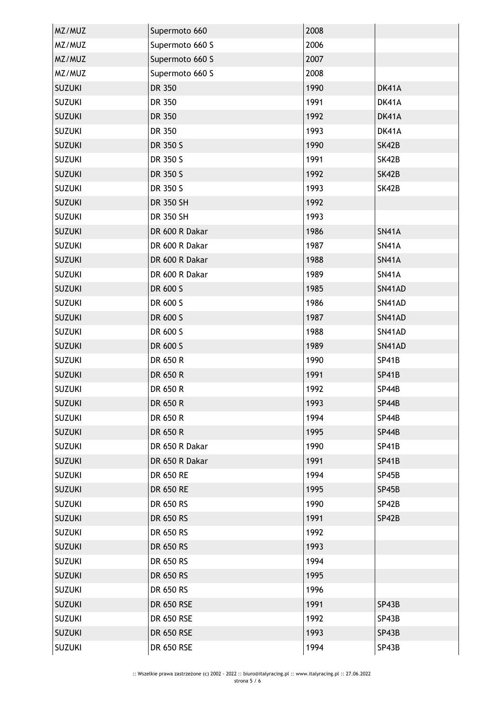| MZ/MUZ        | Supermoto 660   | 2008 |              |
|---------------|-----------------|------|--------------|
| MZ/MUZ        | Supermoto 660 S | 2006 |              |
| MZ/MUZ        | Supermoto 660 S | 2007 |              |
| MZ/MUZ        | Supermoto 660 S | 2008 |              |
| <b>SUZUKI</b> | DR 350          | 1990 | DK41A        |
| <b>SUZUKI</b> | DR 350          | 1991 | DK41A        |
| <b>SUZUKI</b> | DR 350          | 1992 | DK41A        |
| <b>SUZUKI</b> | DR 350          | 1993 | DK41A        |
| <b>SUZUKI</b> | DR 350 S        | 1990 | SK42B        |
| <b>SUZUKI</b> | DR 350 S        | 1991 | SK42B        |
| <b>SUZUKI</b> | DR 350 S        | 1992 | SK42B        |
| <b>SUZUKI</b> | DR 350 S        | 1993 | SK42B        |
| <b>SUZUKI</b> | DR 350 SH       | 1992 |              |
| <b>SUZUKI</b> | DR 350 SH       | 1993 |              |
| <b>SUZUKI</b> | DR 600 R Dakar  | 1986 | <b>SN41A</b> |
| <b>SUZUKI</b> | DR 600 R Dakar  | 1987 | <b>SN41A</b> |
| <b>SUZUKI</b> | DR 600 R Dakar  | 1988 | <b>SN41A</b> |
| <b>SUZUKI</b> | DR 600 R Dakar  | 1989 | <b>SN41A</b> |
| <b>SUZUKI</b> | DR 600 S        | 1985 | SN41AD       |
| <b>SUZUKI</b> | DR 600 S        | 1986 | SN41AD       |
| <b>SUZUKI</b> | DR 600 S        | 1987 | SN41AD       |
| <b>SUZUKI</b> | DR 600 S        | 1988 | SN41AD       |
| <b>SUZUKI</b> | DR 600 S        | 1989 | SN41AD       |
| <b>SUZUKI</b> | DR 650 R        | 1990 | SP41B        |
| <b>SUZUKI</b> | DR 650 R        | 1991 | <b>SP41B</b> |
| <b>SUZUKI</b> | DR 650 R        | 1992 | SP44B        |
| <b>SUZUKI</b> | DR 650 R        | 1993 | <b>SP44B</b> |
| <b>SUZUKI</b> | DR 650 R        | 1994 | SP44B        |
| <b>SUZUKI</b> | DR 650 R        | 1995 | SP44B        |
| <b>SUZUKI</b> | DR 650 R Dakar  | 1990 | <b>SP41B</b> |
| <b>SUZUKI</b> | DR 650 R Dakar  | 1991 | <b>SP41B</b> |
| <b>SUZUKI</b> | DR 650 RE       | 1994 | SP45B        |
| <b>SUZUKI</b> | DR 650 RE       | 1995 | SP45B        |
| <b>SUZUKI</b> | DR 650 RS       | 1990 | SP42B        |
| <b>SUZUKI</b> | DR 650 RS       | 1991 | SP42B        |
| <b>SUZUKI</b> | DR 650 RS       | 1992 |              |
| <b>SUZUKI</b> | DR 650 RS       | 1993 |              |
| <b>SUZUKI</b> | DR 650 RS       | 1994 |              |
| <b>SUZUKI</b> | DR 650 RS       | 1995 |              |
| <b>SUZUKI</b> | DR 650 RS       | 1996 |              |
| <b>SUZUKI</b> | DR 650 RSE      | 1991 | SP43B        |
| <b>SUZUKI</b> | DR 650 RSE      | 1992 | SP43B        |
| <b>SUZUKI</b> | DR 650 RSE      | 1993 | SP43B        |
| <b>SUZUKI</b> | DR 650 RSE      | 1994 | SP43B        |